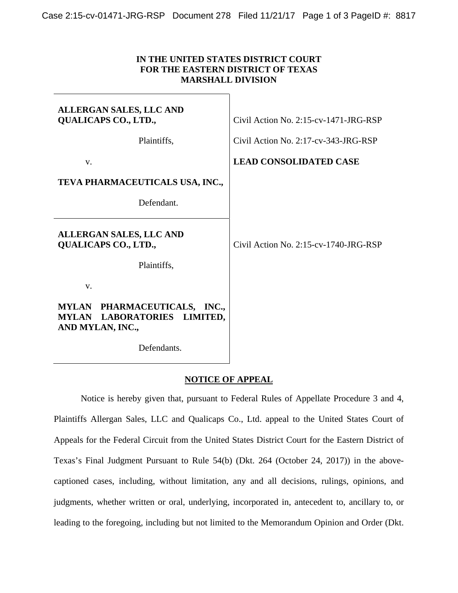## **IN THE UNITED STATES DISTRICT COURT FOR THE EASTERN DISTRICT OF TEXAS MARSHALL DIVISION**

| <b>ALLERGAN SALES, LLC AND</b><br><b>QUALICAPS CO., LTD.,</b>                             | Civil Action No. $2:15$ -cv-1471-JRG-RSP |
|-------------------------------------------------------------------------------------------|------------------------------------------|
| Plaintiffs,                                                                               | Civil Action No. 2:17-cv-343-JRG-RSP     |
| V.                                                                                        | <b>LEAD CONSOLIDATED CASE</b>            |
| TEVA PHARMACEUTICALS USA, INC.,                                                           |                                          |
| Defendant.                                                                                |                                          |
| <b>ALLERGAN SALES, LLC AND</b><br><b>QUALICAPS CO., LTD.,</b>                             | Civil Action No. $2:15$ -cv-1740-JRG-RSP |
| Plaintiffs,                                                                               |                                          |
| V.                                                                                        |                                          |
| MYLAN PHARMACEUTICALS, INC.,<br>LABORATORIES LIMITED,<br><b>MYLAN</b><br>AND MYLAN, INC., |                                          |
| Defendants.                                                                               |                                          |

## **NOTICE OF APPEAL**

Notice is hereby given that, pursuant to Federal Rules of Appellate Procedure 3 and 4, Plaintiffs Allergan Sales, LLC and Qualicaps Co., Ltd. appeal to the United States Court of Appeals for the Federal Circuit from the United States District Court for the Eastern District of Texas's Final Judgment Pursuant to Rule 54(b) (Dkt. 264 (October 24, 2017)) in the abovecaptioned cases, including, without limitation, any and all decisions, rulings, opinions, and judgments, whether written or oral, underlying, incorporated in, antecedent to, ancillary to, or leading to the foregoing, including but not limited to the Memorandum Opinion and Order (Dkt.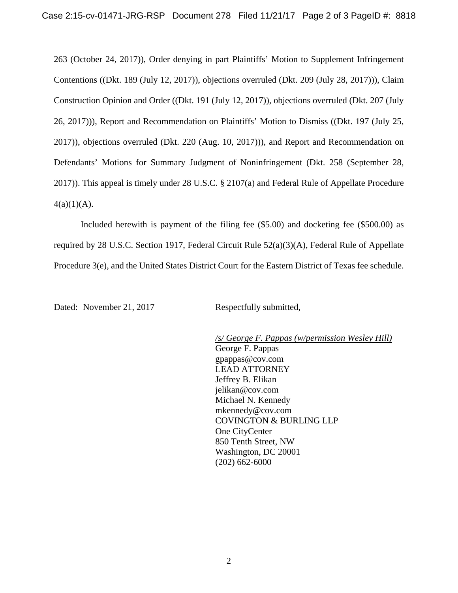263 (October 24, 2017)), Order denying in part Plaintiffs' Motion to Supplement Infringement Contentions ((Dkt. 189 (July 12, 2017)), objections overruled (Dkt. 209 (July 28, 2017))), Claim Construction Opinion and Order ((Dkt. 191 (July 12, 2017)), objections overruled (Dkt. 207 (July 26, 2017))), Report and Recommendation on Plaintiffs' Motion to Dismiss ((Dkt. 197 (July 25, 2017)), objections overruled (Dkt. 220 (Aug. 10, 2017))), and Report and Recommendation on Defendants' Motions for Summary Judgment of Noninfringement (Dkt. 258 (September 28, 2017)). This appeal is timely under 28 U.S.C. § 2107(a) and Federal Rule of Appellate Procedure  $4(a)(1)(A)$ .

Included herewith is payment of the filing fee (\$5.00) and docketing fee (\$500.00) as required by 28 U.S.C. Section 1917, Federal Circuit Rule 52(a)(3)(A), Federal Rule of Appellate Procedure 3(e), and the United States District Court for the Eastern District of Texas fee schedule.

Dated: November 21, 2017 Respectfully submitted,

*/s/ George F. Pappas (w/permission Wesley Hill)*  George F. Pappas gpappas@cov.com LEAD ATTORNEY Jeffrey B. Elikan jelikan@cov.com Michael N. Kennedy mkennedy@cov.com COVINGTON & BURLING LLP One CityCenter 850 Tenth Street, NW Washington, DC 20001 (202) 662-6000